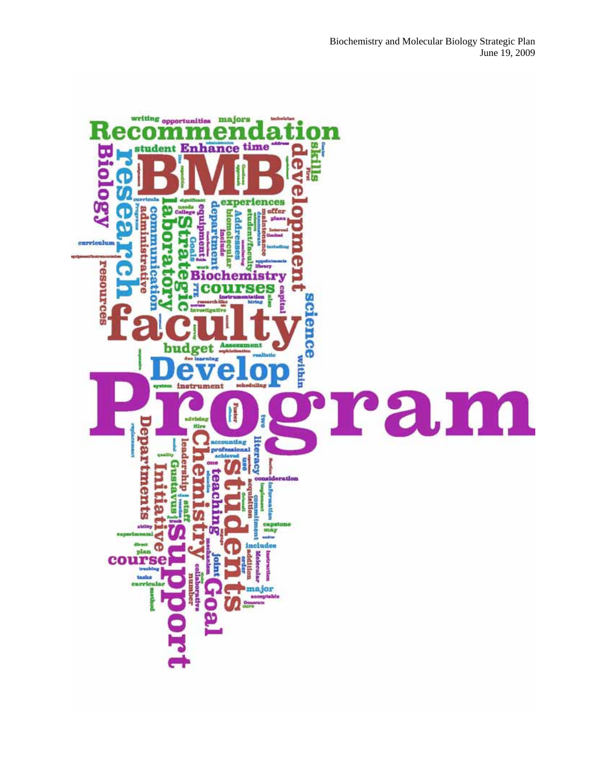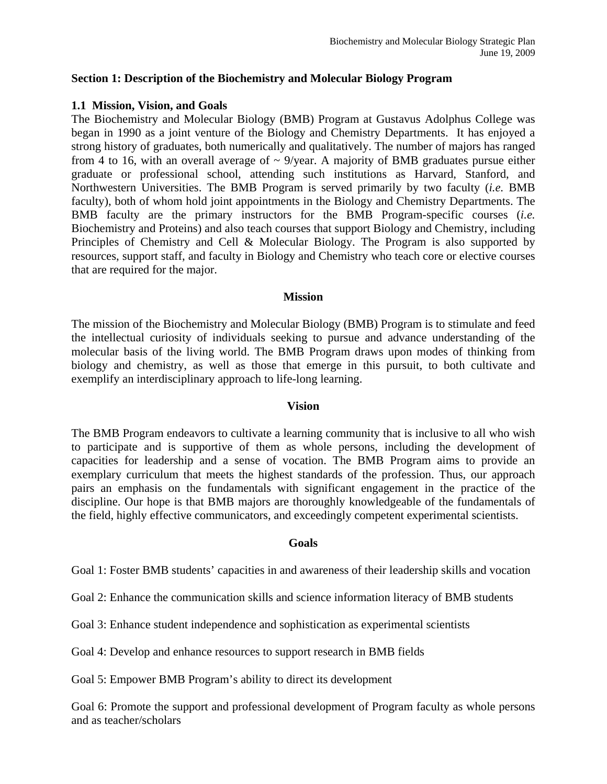#### **Section 1: Description of the Biochemistry and Molecular Biology Program**

#### **1.1 Mission, Vision, and Goals**

The Biochemistry and Molecular Biology (BMB) Program at Gustavus Adolphus College was began in 1990 as a joint venture of the Biology and Chemistry Departments. It has enjoyed a strong history of graduates, both numerically and qualitatively. The number of majors has ranged from 4 to 16, with an overall average of  $\sim$  9/year. A majority of BMB graduates pursue either graduate or professional school, attending such institutions as Harvard, Stanford, and Northwestern Universities. The BMB Program is served primarily by two faculty (*i.e.* BMB faculty), both of whom hold joint appointments in the Biology and Chemistry Departments. The BMB faculty are the primary instructors for the BMB Program-specific courses (*i.e.*  Biochemistry and Proteins) and also teach courses that support Biology and Chemistry, including Principles of Chemistry and Cell & Molecular Biology. The Program is also supported by resources, support staff, and faculty in Biology and Chemistry who teach core or elective courses that are required for the major.

#### **Mission**

The mission of the Biochemistry and Molecular Biology (BMB) Program is to stimulate and feed the intellectual curiosity of individuals seeking to pursue and advance understanding of the molecular basis of the living world. The BMB Program draws upon modes of thinking from biology and chemistry, as well as those that emerge in this pursuit, to both cultivate and exemplify an interdisciplinary approach to life-long learning.

#### **Vision**

The BMB Program endeavors to cultivate a learning community that is inclusive to all who wish to participate and is supportive of them as whole persons, including the development of capacities for leadership and a sense of vocation. The BMB Program aims to provide an exemplary curriculum that meets the highest standards of the profession. Thus, our approach pairs an emphasis on the fundamentals with significant engagement in the practice of the discipline. Our hope is that BMB majors are thoroughly knowledgeable of the fundamentals of the field, highly effective communicators, and exceedingly competent experimental scientists.

#### **Goals**

Goal 1: Foster BMB students' capacities in and awareness of their leadership skills and vocation

Goal 2: Enhance the communication skills and science information literacy of BMB students

Goal 3: Enhance student independence and sophistication as experimental scientists

Goal 4: Develop and enhance resources to support research in BMB fields

Goal 5: Empower BMB Program's ability to direct its development

Goal 6: Promote the support and professional development of Program faculty as whole persons and as teacher/scholars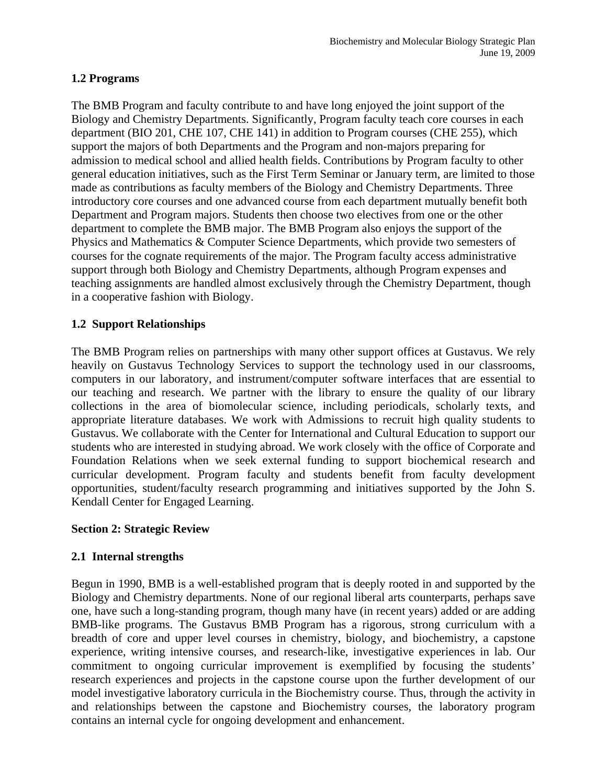## **1.2 Programs**

The BMB Program and faculty contribute to and have long enjoyed the joint support of the Biology and Chemistry Departments. Significantly, Program faculty teach core courses in each department (BIO 201, CHE 107, CHE 141) in addition to Program courses (CHE 255), which support the majors of both Departments and the Program and non-majors preparing for admission to medical school and allied health fields. Contributions by Program faculty to other general education initiatives, such as the First Term Seminar or January term, are limited to those made as contributions as faculty members of the Biology and Chemistry Departments. Three introductory core courses and one advanced course from each department mutually benefit both Department and Program majors. Students then choose two electives from one or the other department to complete the BMB major. The BMB Program also enjoys the support of the Physics and Mathematics & Computer Science Departments, which provide two semesters of courses for the cognate requirements of the major. The Program faculty access administrative support through both Biology and Chemistry Departments, although Program expenses and teaching assignments are handled almost exclusively through the Chemistry Department, though in a cooperative fashion with Biology.

# **1.2 Support Relationships**

The BMB Program relies on partnerships with many other support offices at Gustavus. We rely heavily on Gustavus Technology Services to support the technology used in our classrooms, computers in our laboratory, and instrument/computer software interfaces that are essential to our teaching and research. We partner with the library to ensure the quality of our library collections in the area of biomolecular science, including periodicals, scholarly texts, and appropriate literature databases. We work with Admissions to recruit high quality students to Gustavus. We collaborate with the Center for International and Cultural Education to support our students who are interested in studying abroad. We work closely with the office of Corporate and Foundation Relations when we seek external funding to support biochemical research and curricular development. Program faculty and students benefit from faculty development opportunities, student/faculty research programming and initiatives supported by the John S. Kendall Center for Engaged Learning.

## **Section 2: Strategic Review**

## **2.1 Internal strengths**

Begun in 1990, BMB is a well-established program that is deeply rooted in and supported by the Biology and Chemistry departments. None of our regional liberal arts counterparts, perhaps save one, have such a long-standing program, though many have (in recent years) added or are adding BMB-like programs. The Gustavus BMB Program has a rigorous, strong curriculum with a breadth of core and upper level courses in chemistry, biology, and biochemistry, a capstone experience, writing intensive courses, and research-like, investigative experiences in lab. Our commitment to ongoing curricular improvement is exemplified by focusing the students' research experiences and projects in the capstone course upon the further development of our model investigative laboratory curricula in the Biochemistry course. Thus, through the activity in and relationships between the capstone and Biochemistry courses, the laboratory program contains an internal cycle for ongoing development and enhancement.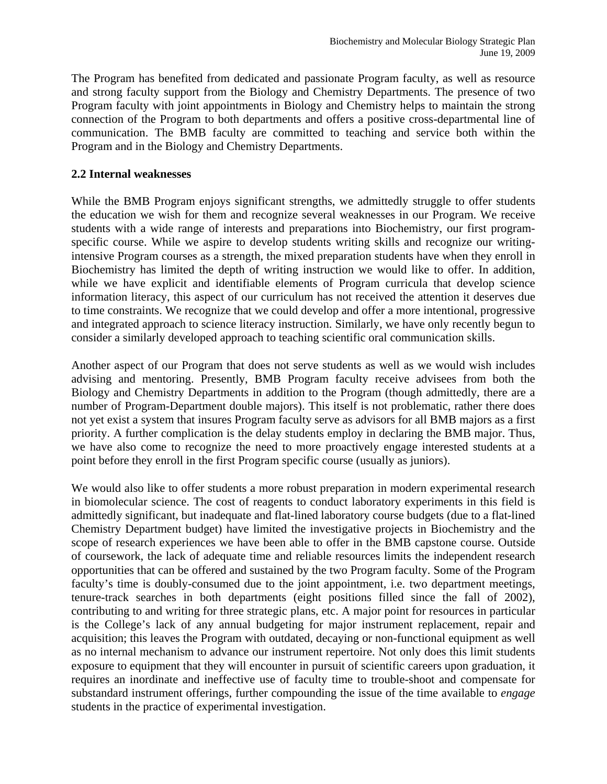The Program has benefited from dedicated and passionate Program faculty, as well as resource and strong faculty support from the Biology and Chemistry Departments. The presence of two Program faculty with joint appointments in Biology and Chemistry helps to maintain the strong connection of the Program to both departments and offers a positive cross-departmental line of communication. The BMB faculty are committed to teaching and service both within the Program and in the Biology and Chemistry Departments.

### **2.2 Internal weaknesses**

While the BMB Program enjoys significant strengths, we admittedly struggle to offer students the education we wish for them and recognize several weaknesses in our Program. We receive students with a wide range of interests and preparations into Biochemistry, our first programspecific course. While we aspire to develop students writing skills and recognize our writingintensive Program courses as a strength, the mixed preparation students have when they enroll in Biochemistry has limited the depth of writing instruction we would like to offer. In addition, while we have explicit and identifiable elements of Program curricula that develop science information literacy, this aspect of our curriculum has not received the attention it deserves due to time constraints. We recognize that we could develop and offer a more intentional, progressive and integrated approach to science literacy instruction. Similarly, we have only recently begun to consider a similarly developed approach to teaching scientific oral communication skills.

Another aspect of our Program that does not serve students as well as we would wish includes advising and mentoring. Presently, BMB Program faculty receive advisees from both the Biology and Chemistry Departments in addition to the Program (though admittedly, there are a number of Program-Department double majors). This itself is not problematic, rather there does not yet exist a system that insures Program faculty serve as advisors for all BMB majors as a first priority. A further complication is the delay students employ in declaring the BMB major. Thus, we have also come to recognize the need to more proactively engage interested students at a point before they enroll in the first Program specific course (usually as juniors).

We would also like to offer students a more robust preparation in modern experimental research in biomolecular science. The cost of reagents to conduct laboratory experiments in this field is admittedly significant, but inadequate and flat-lined laboratory course budgets (due to a flat-lined Chemistry Department budget) have limited the investigative projects in Biochemistry and the scope of research experiences we have been able to offer in the BMB capstone course. Outside of coursework, the lack of adequate time and reliable resources limits the independent research opportunities that can be offered and sustained by the two Program faculty. Some of the Program faculty's time is doubly-consumed due to the joint appointment, i.e. two department meetings, tenure-track searches in both departments (eight positions filled since the fall of 2002), contributing to and writing for three strategic plans, etc. A major point for resources in particular is the College's lack of any annual budgeting for major instrument replacement, repair and acquisition; this leaves the Program with outdated, decaying or non-functional equipment as well as no internal mechanism to advance our instrument repertoire. Not only does this limit students exposure to equipment that they will encounter in pursuit of scientific careers upon graduation, it requires an inordinate and ineffective use of faculty time to trouble-shoot and compensate for substandard instrument offerings, further compounding the issue of the time available to *engage* students in the practice of experimental investigation.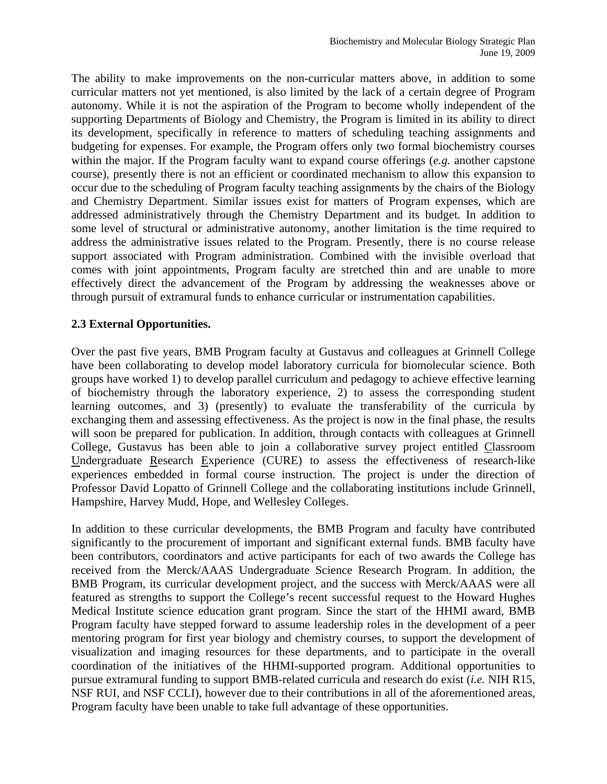The ability to make improvements on the non-curricular matters above, in addition to some curricular matters not yet mentioned, is also limited by the lack of a certain degree of Program autonomy. While it is not the aspiration of the Program to become wholly independent of the supporting Departments of Biology and Chemistry, the Program is limited in its ability to direct its development, specifically in reference to matters of scheduling teaching assignments and budgeting for expenses. For example, the Program offers only two formal biochemistry courses within the major. If the Program faculty want to expand course offerings (*e.g.* another capstone course), presently there is not an efficient or coordinated mechanism to allow this expansion to occur due to the scheduling of Program faculty teaching assignments by the chairs of the Biology and Chemistry Department. Similar issues exist for matters of Program expenses, which are addressed administratively through the Chemistry Department and its budget. In addition to some level of structural or administrative autonomy, another limitation is the time required to address the administrative issues related to the Program. Presently, there is no course release support associated with Program administration. Combined with the invisible overload that comes with joint appointments, Program faculty are stretched thin and are unable to more effectively direct the advancement of the Program by addressing the weaknesses above or through pursuit of extramural funds to enhance curricular or instrumentation capabilities.

### **2.3 External Opportunities.**

Over the past five years, BMB Program faculty at Gustavus and colleagues at Grinnell College have been collaborating to develop model laboratory curricula for biomolecular science. Both groups have worked 1) to develop parallel curriculum and pedagogy to achieve effective learning of biochemistry through the laboratory experience, 2) to assess the corresponding student learning outcomes, and 3) (presently) to evaluate the transferability of the curricula by exchanging them and assessing effectiveness. As the project is now in the final phase, the results will soon be prepared for publication. In addition, through contacts with colleagues at Grinnell College, Gustavus has been able to join a collaborative survey project entitled Classroom Undergraduate Research Experience (CURE) to assess the effectiveness of research-like experiences embedded in formal course instruction. The project is under the direction of Professor David Lopatto of Grinnell College and the collaborating institutions include Grinnell, Hampshire, Harvey Mudd, Hope, and Wellesley Colleges.

In addition to these curricular developments, the BMB Program and faculty have contributed significantly to the procurement of important and significant external funds. BMB faculty have been contributors, coordinators and active participants for each of two awards the College has received from the Merck/AAAS Undergraduate Science Research Program. In addition, the BMB Program, its curricular development project, and the success with Merck/AAAS were all featured as strengths to support the College's recent successful request to the Howard Hughes Medical Institute science education grant program. Since the start of the HHMI award, BMB Program faculty have stepped forward to assume leadership roles in the development of a peer mentoring program for first year biology and chemistry courses, to support the development of visualization and imaging resources for these departments, and to participate in the overall coordination of the initiatives of the HHMI-supported program. Additional opportunities to pursue extramural funding to support BMB-related curricula and research do exist (*i.e.* NIH R15, NSF RUI, and NSF CCLI), however due to their contributions in all of the aforementioned areas, Program faculty have been unable to take full advantage of these opportunities.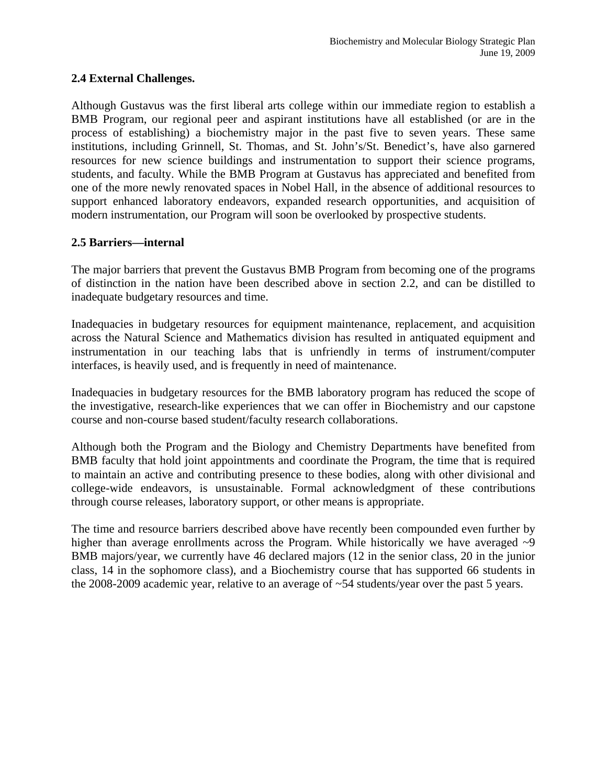## **2.4 External Challenges.**

Although Gustavus was the first liberal arts college within our immediate region to establish a BMB Program, our regional peer and aspirant institutions have all established (or are in the process of establishing) a biochemistry major in the past five to seven years. These same institutions, including Grinnell, St. Thomas, and St. John's/St. Benedict's, have also garnered resources for new science buildings and instrumentation to support their science programs, students, and faculty. While the BMB Program at Gustavus has appreciated and benefited from one of the more newly renovated spaces in Nobel Hall, in the absence of additional resources to support enhanced laboratory endeavors, expanded research opportunities, and acquisition of modern instrumentation, our Program will soon be overlooked by prospective students.

### **2.5 Barriers—internal**

The major barriers that prevent the Gustavus BMB Program from becoming one of the programs of distinction in the nation have been described above in section 2.2, and can be distilled to inadequate budgetary resources and time.

Inadequacies in budgetary resources for equipment maintenance, replacement, and acquisition across the Natural Science and Mathematics division has resulted in antiquated equipment and instrumentation in our teaching labs that is unfriendly in terms of instrument/computer interfaces, is heavily used, and is frequently in need of maintenance.

Inadequacies in budgetary resources for the BMB laboratory program has reduced the scope of the investigative, research-like experiences that we can offer in Biochemistry and our capstone course and non-course based student/faculty research collaborations.

Although both the Program and the Biology and Chemistry Departments have benefited from BMB faculty that hold joint appointments and coordinate the Program, the time that is required to maintain an active and contributing presence to these bodies, along with other divisional and college-wide endeavors, is unsustainable. Formal acknowledgment of these contributions through course releases, laboratory support, or other means is appropriate.

The time and resource barriers described above have recently been compounded even further by higher than average enrollments across the Program. While historically we have averaged  $\sim 9$ BMB majors/year, we currently have 46 declared majors (12 in the senior class, 20 in the junior class, 14 in the sophomore class), and a Biochemistry course that has supported 66 students in the 2008-2009 academic year, relative to an average of ~54 students/year over the past 5 years.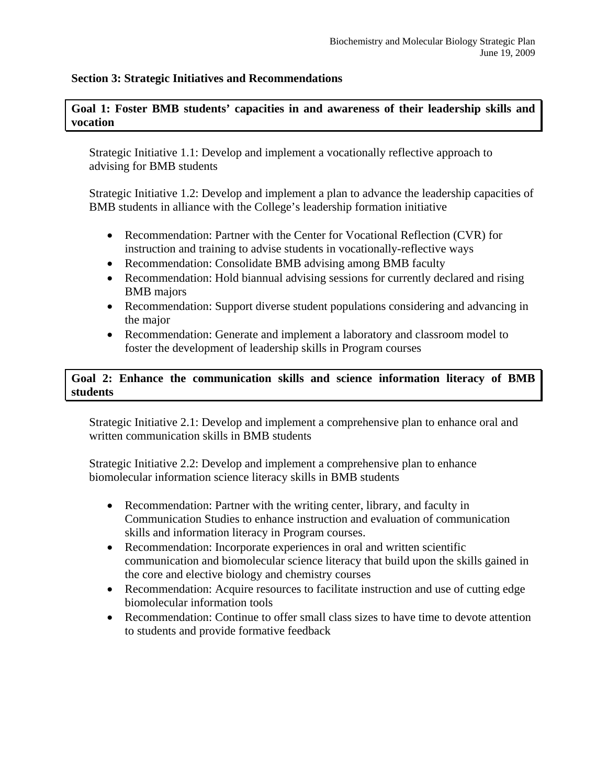### **Section 3: Strategic Initiatives and Recommendations**

### **Goal 1: Foster BMB students' capacities in and awareness of their leadership skills and vocation**

Strategic Initiative 1.1: Develop and implement a vocationally reflective approach to advising for BMB students

Strategic Initiative 1.2: Develop and implement a plan to advance the leadership capacities of BMB students in alliance with the College's leadership formation initiative

- Recommendation: Partner with the Center for Vocational Reflection (CVR) for instruction and training to advise students in vocationally-reflective ways
- Recommendation: Consolidate BMB advising among BMB faculty
- Recommendation: Hold biannual advising sessions for currently declared and rising BMB majors
- Recommendation: Support diverse student populations considering and advancing in the major
- Recommendation: Generate and implement a laboratory and classroom model to foster the development of leadership skills in Program courses

# **Goal 2: Enhance the communication skills and science information literacy of BMB students**

Strategic Initiative 2.1: Develop and implement a comprehensive plan to enhance oral and written communication skills in BMB students

Strategic Initiative 2.2: Develop and implement a comprehensive plan to enhance biomolecular information science literacy skills in BMB students

- Recommendation: Partner with the writing center, library, and faculty in Communication Studies to enhance instruction and evaluation of communication skills and information literacy in Program courses.
- Recommendation: Incorporate experiences in oral and written scientific communication and biomolecular science literacy that build upon the skills gained in the core and elective biology and chemistry courses
- Recommendation: Acquire resources to facilitate instruction and use of cutting edge biomolecular information tools
- Recommendation: Continue to offer small class sizes to have time to devote attention to students and provide formative feedback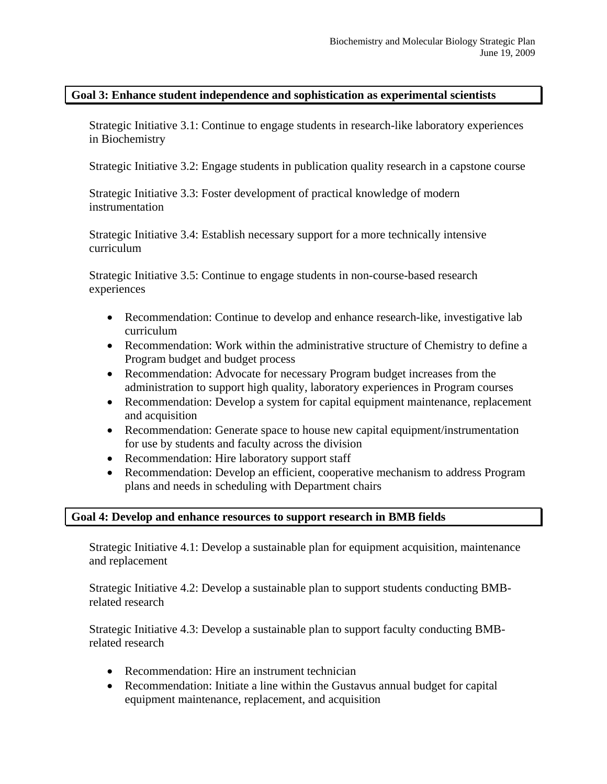### **Goal 3: Enhance student independence and sophistication as experimental scientists**

Strategic Initiative 3.1: Continue to engage students in research-like laboratory experiences in Biochemistry

Strategic Initiative 3.2: Engage students in publication quality research in a capstone course

Strategic Initiative 3.3: Foster development of practical knowledge of modern instrumentation

Strategic Initiative 3.4: Establish necessary support for a more technically intensive curriculum

Strategic Initiative 3.5: Continue to engage students in non-course-based research experiences

- Recommendation: Continue to develop and enhance research-like, investigative lab curriculum
- Recommendation: Work within the administrative structure of Chemistry to define a Program budget and budget process
- Recommendation: Advocate for necessary Program budget increases from the administration to support high quality, laboratory experiences in Program courses
- Recommendation: Develop a system for capital equipment maintenance, replacement and acquisition
- Recommendation: Generate space to house new capital equipment/instrumentation for use by students and faculty across the division
- Recommendation: Hire laboratory support staff
- Recommendation: Develop an efficient, cooperative mechanism to address Program plans and needs in scheduling with Department chairs

## **Goal 4: Develop and enhance resources to support research in BMB fields**

Strategic Initiative 4.1: Develop a sustainable plan for equipment acquisition, maintenance and replacement

Strategic Initiative 4.2: Develop a sustainable plan to support students conducting BMBrelated research

Strategic Initiative 4.3: Develop a sustainable plan to support faculty conducting BMBrelated research

- Recommendation: Hire an instrument technician
- Recommendation: Initiate a line within the Gustavus annual budget for capital equipment maintenance, replacement, and acquisition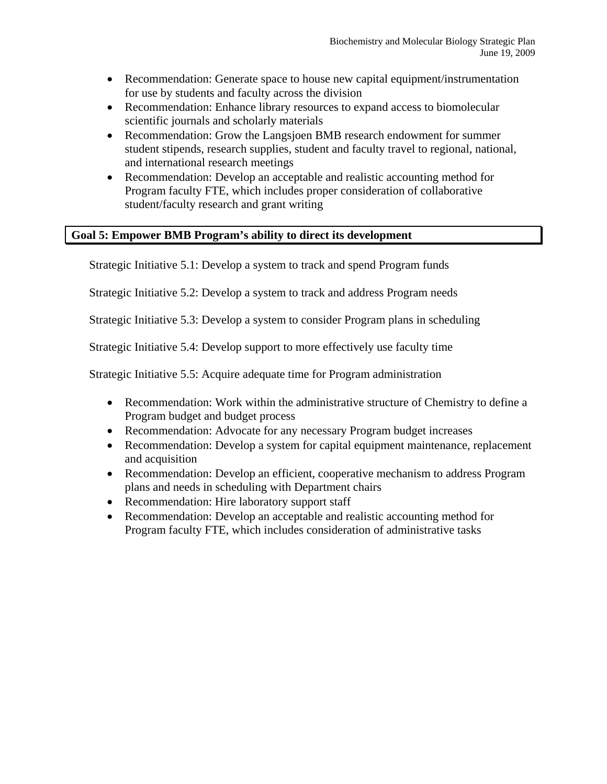- Recommendation: Generate space to house new capital equipment/instrumentation for use by students and faculty across the division
- Recommendation: Enhance library resources to expand access to biomolecular scientific journals and scholarly materials
- Recommendation: Grow the Langsjoen BMB research endowment for summer student stipends, research supplies, student and faculty travel to regional, national, and international research meetings
- Recommendation: Develop an acceptable and realistic accounting method for Program faculty FTE, which includes proper consideration of collaborative student/faculty research and grant writing

## **Goal 5: Empower BMB Program's ability to direct its development**

Strategic Initiative 5.1: Develop a system to track and spend Program funds

Strategic Initiative 5.2: Develop a system to track and address Program needs

Strategic Initiative 5.3: Develop a system to consider Program plans in scheduling

Strategic Initiative 5.4: Develop support to more effectively use faculty time

Strategic Initiative 5.5: Acquire adequate time for Program administration

- Recommendation: Work within the administrative structure of Chemistry to define a Program budget and budget process
- Recommendation: Advocate for any necessary Program budget increases
- Recommendation: Develop a system for capital equipment maintenance, replacement and acquisition
- Recommendation: Develop an efficient, cooperative mechanism to address Program plans and needs in scheduling with Department chairs
- Recommendation: Hire laboratory support staff
- Recommendation: Develop an acceptable and realistic accounting method for Program faculty FTE, which includes consideration of administrative tasks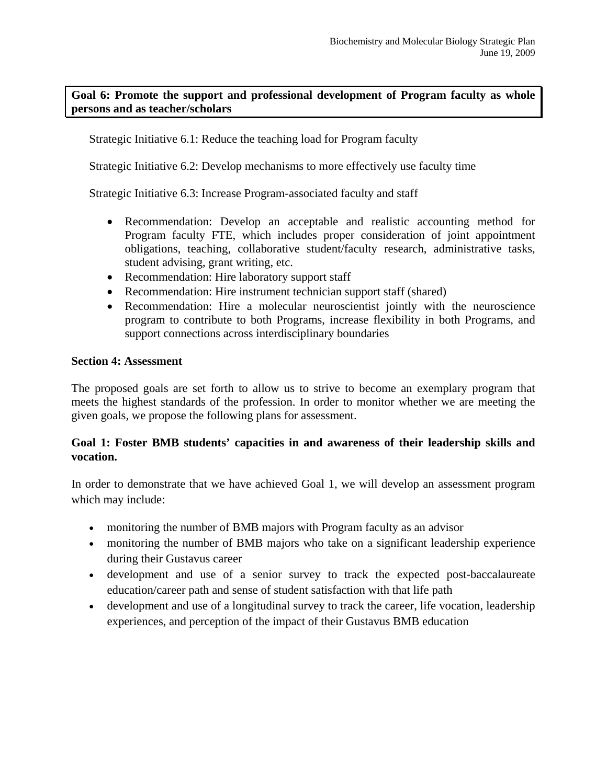## **Goal 6: Promote the support and professional development of Program faculty as whole persons and as teacher/scholars**

Strategic Initiative 6.1: Reduce the teaching load for Program faculty

Strategic Initiative 6.2: Develop mechanisms to more effectively use faculty time

Strategic Initiative 6.3: Increase Program-associated faculty and staff

- Recommendation: Develop an acceptable and realistic accounting method for Program faculty FTE, which includes proper consideration of joint appointment obligations, teaching, collaborative student/faculty research, administrative tasks, student advising, grant writing, etc.
- Recommendation: Hire laboratory support staff
- Recommendation: Hire instrument technician support staff (shared)
- Recommendation: Hire a molecular neuroscientist jointly with the neuroscience program to contribute to both Programs, increase flexibility in both Programs, and support connections across interdisciplinary boundaries

### **Section 4: Assessment**

The proposed goals are set forth to allow us to strive to become an exemplary program that meets the highest standards of the profession. In order to monitor whether we are meeting the given goals, we propose the following plans for assessment.

## **Goal 1: Foster BMB students' capacities in and awareness of their leadership skills and vocation.**

In order to demonstrate that we have achieved Goal 1, we will develop an assessment program which may include:

- monitoring the number of BMB majors with Program faculty as an advisor
- monitoring the number of BMB majors who take on a significant leadership experience during their Gustavus career
- development and use of a senior survey to track the expected post-baccalaureate education/career path and sense of student satisfaction with that life path
- development and use of a longitudinal survey to track the career, life vocation, leadership experiences, and perception of the impact of their Gustavus BMB education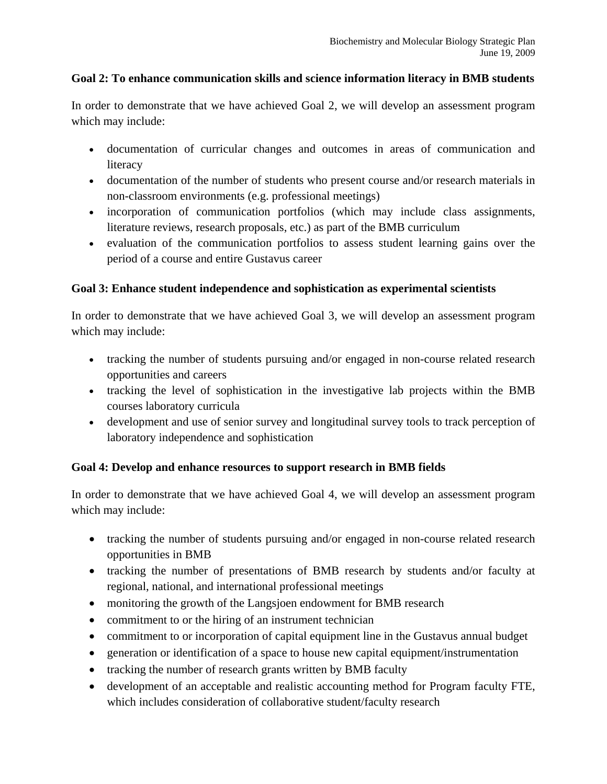## **Goal 2: To enhance communication skills and science information literacy in BMB students**

In order to demonstrate that we have achieved Goal 2, we will develop an assessment program which may include:

- documentation of curricular changes and outcomes in areas of communication and literacy
- documentation of the number of students who present course and/or research materials in non-classroom environments (e.g. professional meetings)
- incorporation of communication portfolios (which may include class assignments, literature reviews, research proposals, etc.) as part of the BMB curriculum
- evaluation of the communication portfolios to assess student learning gains over the period of a course and entire Gustavus career

# **Goal 3: Enhance student independence and sophistication as experimental scientists**

In order to demonstrate that we have achieved Goal 3, we will develop an assessment program which may include:

- tracking the number of students pursuing and/or engaged in non-course related research opportunities and careers
- tracking the level of sophistication in the investigative lab projects within the BMB courses laboratory curricula
- development and use of senior survey and longitudinal survey tools to track perception of laboratory independence and sophistication

# **Goal 4: Develop and enhance resources to support research in BMB fields**

In order to demonstrate that we have achieved Goal 4, we will develop an assessment program which may include:

- tracking the number of students pursuing and/or engaged in non-course related research opportunities in BMB
- tracking the number of presentations of BMB research by students and/or faculty at regional, national, and international professional meetings
- monitoring the growth of the Langsjoen endowment for BMB research
- commitment to or the hiring of an instrument technician
- commitment to or incorporation of capital equipment line in the Gustavus annual budget
- generation or identification of a space to house new capital equipment/instrumentation
- tracking the number of research grants written by BMB faculty
- development of an acceptable and realistic accounting method for Program faculty FTE, which includes consideration of collaborative student/faculty research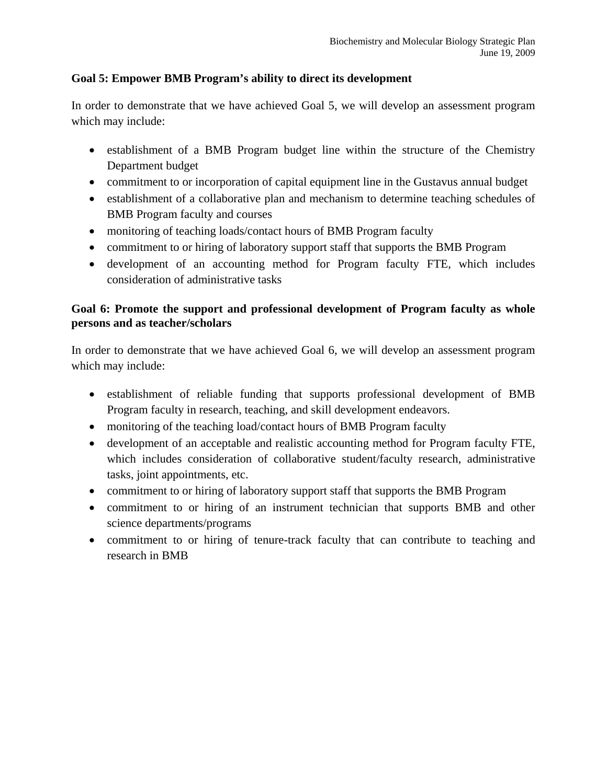### **Goal 5: Empower BMB Program's ability to direct its development**

In order to demonstrate that we have achieved Goal 5, we will develop an assessment program which may include:

- establishment of a BMB Program budget line within the structure of the Chemistry Department budget
- commitment to or incorporation of capital equipment line in the Gustavus annual budget
- establishment of a collaborative plan and mechanism to determine teaching schedules of BMB Program faculty and courses
- monitoring of teaching loads/contact hours of BMB Program faculty
- commitment to or hiring of laboratory support staff that supports the BMB Program
- development of an accounting method for Program faculty FTE, which includes consideration of administrative tasks

## **Goal 6: Promote the support and professional development of Program faculty as whole persons and as teacher/scholars**

In order to demonstrate that we have achieved Goal 6, we will develop an assessment program which may include:

- establishment of reliable funding that supports professional development of BMB Program faculty in research, teaching, and skill development endeavors.
- monitoring of the teaching load/contact hours of BMB Program faculty
- development of an acceptable and realistic accounting method for Program faculty FTE, which includes consideration of collaborative student/faculty research, administrative tasks, joint appointments, etc.
- commitment to or hiring of laboratory support staff that supports the BMB Program
- commitment to or hiring of an instrument technician that supports BMB and other science departments/programs
- commitment to or hiring of tenure-track faculty that can contribute to teaching and research in BMB